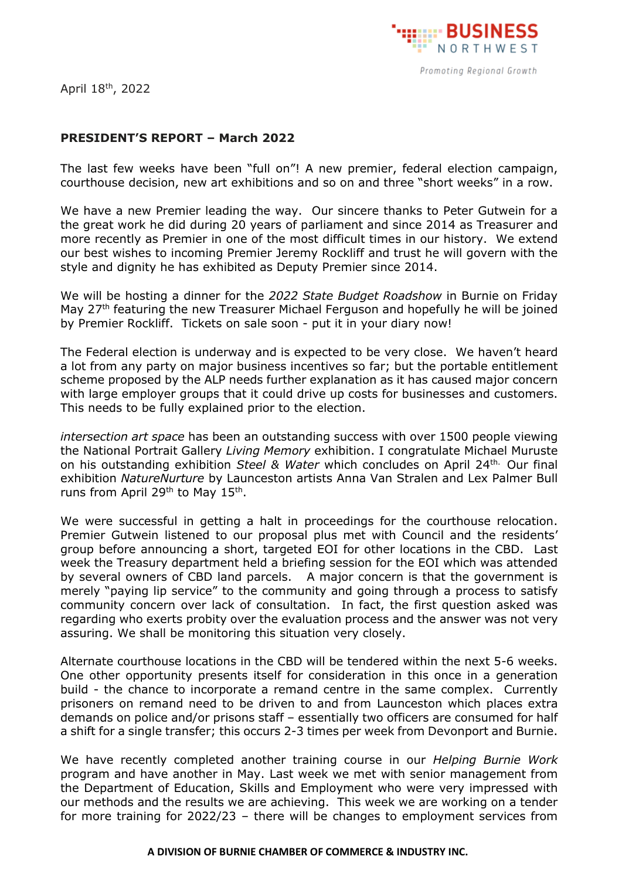

April 18<sup>th</sup>, 2022

## **PRESIDENT'S REPORT – March 2022**

The last few weeks have been "full on"! A new premier, federal election campaign, courthouse decision, new art exhibitions and so on and three "short weeks" in a row.

We have a new Premier leading the way. Our sincere thanks to Peter Gutwein for a the great work he did during 20 years of parliament and since 2014 as Treasurer and more recently as Premier in one of the most difficult times in our history. We extend our best wishes to incoming Premier Jeremy Rockliff and trust he will govern with the style and dignity he has exhibited as Deputy Premier since 2014.

We will be hosting a dinner for the *2022 State Budget Roadshow* in Burnie on Friday May 27<sup>th</sup> featuring the new Treasurer Michael Ferguson and hopefully he will be joined by Premier Rockliff. Tickets on sale soon - put it in your diary now!

The Federal election is underway and is expected to be very close. We haven't heard a lot from any party on major business incentives so far; but the portable entitlement scheme proposed by the ALP needs further explanation as it has caused major concern with large employer groups that it could drive up costs for businesses and customers. This needs to be fully explained prior to the election.

*intersection art space* has been an outstanding success with over 1500 people viewing the National Portrait Gallery *Living Memory* exhibition. I congratulate Michael Muruste on his outstanding exhibition Steel & Water which concludes on April 24<sup>th.</sup> Our final exhibition *NatureNurture* by Launceston artists Anna Van Stralen and Lex Palmer Bull runs from April 29<sup>th</sup> to May 15<sup>th</sup>.

We were successful in getting a halt in proceedings for the courthouse relocation. Premier Gutwein listened to our proposal plus met with Council and the residents' group before announcing a short, targeted EOI for other locations in the CBD. Last week the Treasury department held a briefing session for the EOI which was attended by several owners of CBD land parcels. A major concern is that the government is merely "paying lip service" to the community and going through a process to satisfy community concern over lack of consultation. In fact, the first question asked was regarding who exerts probity over the evaluation process and the answer was not very assuring. We shall be monitoring this situation very closely.

Alternate courthouse locations in the CBD will be tendered within the next 5-6 weeks. One other opportunity presents itself for consideration in this once in a generation build - the chance to incorporate a remand centre in the same complex. Currently prisoners on remand need to be driven to and from Launceston which places extra demands on police and/or prisons staff – essentially two officers are consumed for half a shift for a single transfer; this occurs 2-3 times per week from Devonport and Burnie.

We have recently completed another training course in our *Helping Burnie Work* program and have another in May. Last week we met with senior management from the Department of Education, Skills and Employment who were very impressed with our methods and the results we are achieving. This week we are working on a tender for more training for 2022/23 – there will be changes to employment services from